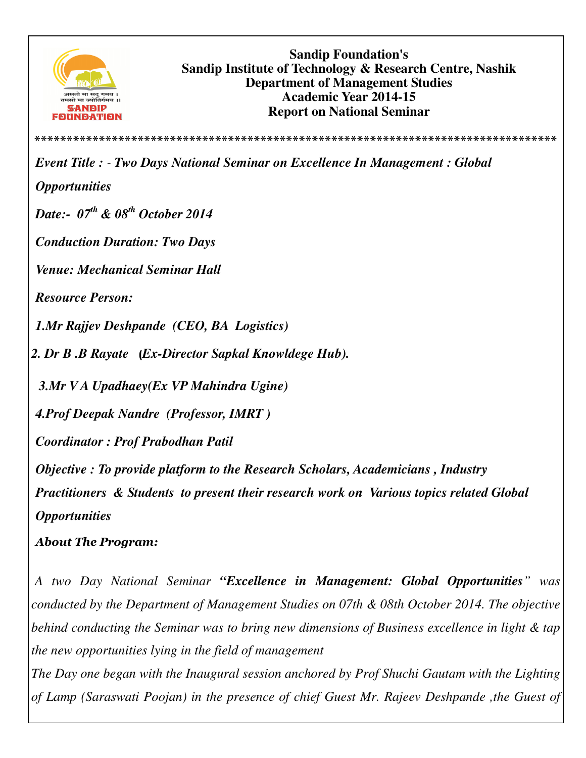

**Sandip Foundation's Sandip Institute of Technology & Research Centre, Nashik Department of Management Studies Academic Year 2014-15 Report on National Seminar** 

**\*\*\*\*\*\*\*\*\*\*\*\*\*\*\*\*\*\*\*\*\*\*\*\*\*\*\*\*\*\*\*\*\*\*\*\*\*\*\*\*\*\*\*\*\*\*\*\*\*\*\*\*\*\*\*\*\*\*\*\*\*\*\*\*\*\*\*\*\*\*\*\*\*\*\*\*\*\*\*\*\*** *Event Title : - Two Days National Seminar on Excellence In Management : Global Opportunities Date:- 07th & 08th October 2014 Conduction Duration: Two Days Venue: Mechanical Seminar Hall Resource Person: 1.Mr Rajjev Deshpande (CEO, BA Logistics) 2. Dr B .B Rayate* **(***Ex-Director Sapkal Knowldege Hub). 3.Mr V A Upadhaey(Ex VP Mahindra Ugine) 4.Prof Deepak Nandre (Professor, IMRT ) Coordinator : Prof Prabodhan Patil Objective : To provide platform to the Research Scholars, Academicians , Industry Practitioners & Students to present their research work on Various topics related Global Opportunities* 

## *About The Program:*

*A two Day National Seminar "Excellence in Management: Global Opportunities" was conducted by the Department of Management Studies on 07th & 08th October 2014. The objective behind conducting the Seminar was to bring new dimensions of Business excellence in light & tap the new opportunities lying in the field of management* 

*The Day one began with the Inaugural session anchored by Prof Shuchi Gautam with the Lighting of Lamp (Saraswati Poojan) in the presence of chief Guest Mr. Rajeev Deshpande ,the Guest of*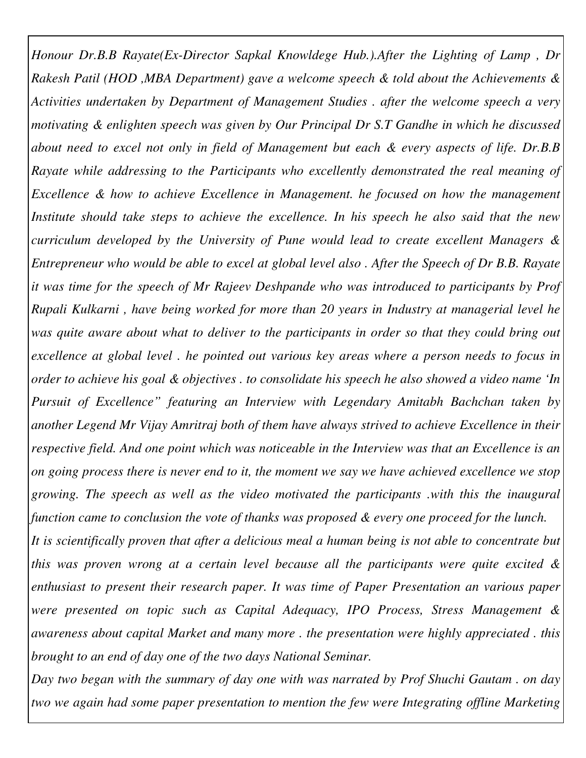*Honour Dr.B.B Rayate(Ex-Director Sapkal Knowldege Hub.).After the Lighting of Lamp , Dr Rakesh Patil (HOD ,MBA Department) gave a welcome speech & told about the Achievements & Activities undertaken by Department of Management Studies . after the welcome speech a very motivating & enlighten speech was given by Our Principal Dr S.T Gandhe in which he discussed about need to excel not only in field of Management but each & every aspects of life. Dr.B.B Rayate while addressing to the Participants who excellently demonstrated the real meaning of Excellence & how to achieve Excellence in Management. he focused on how the management Institute should take steps to achieve the excellence. In his speech he also said that the new curriculum developed by the University of Pune would lead to create excellent Managers & Entrepreneur who would be able to excel at global level also . After the Speech of Dr B.B. Rayate it was time for the speech of Mr Rajeev Deshpande who was introduced to participants by Prof Rupali Kulkarni , have being worked for more than 20 years in Industry at managerial level he was quite aware about what to deliver to the participants in order so that they could bring out excellence at global level . he pointed out various key areas where a person needs to focus in order to achieve his goal & objectives . to consolidate his speech he also showed a video name 'In Pursuit of Excellence" featuring an Interview with Legendary Amitabh Bachchan taken by another Legend Mr Vijay Amritraj both of them have always strived to achieve Excellence in their respective field. And one point which was noticeable in the Interview was that an Excellence is an on going process there is never end to it, the moment we say we have achieved excellence we stop growing. The speech as well as the video motivated the participants .with this the inaugural function came to conclusion the vote of thanks was proposed & every one proceed for the lunch. It is scientifically proven that after a delicious meal a human being is not able to concentrate but this was proven wrong at a certain level because all the participants were quite excited & enthusiast to present their research paper. It was time of Paper Presentation an various paper were presented on topic such as Capital Adequacy, IPO Process, Stress Management & awareness about capital Market and many more . the presentation were highly appreciated . this brought to an end of day one of the two days National Seminar.* 

*Day two began with the summary of day one with was narrated by Prof Shuchi Gautam . on day two we again had some paper presentation to mention the few were Integrating offline Marketing*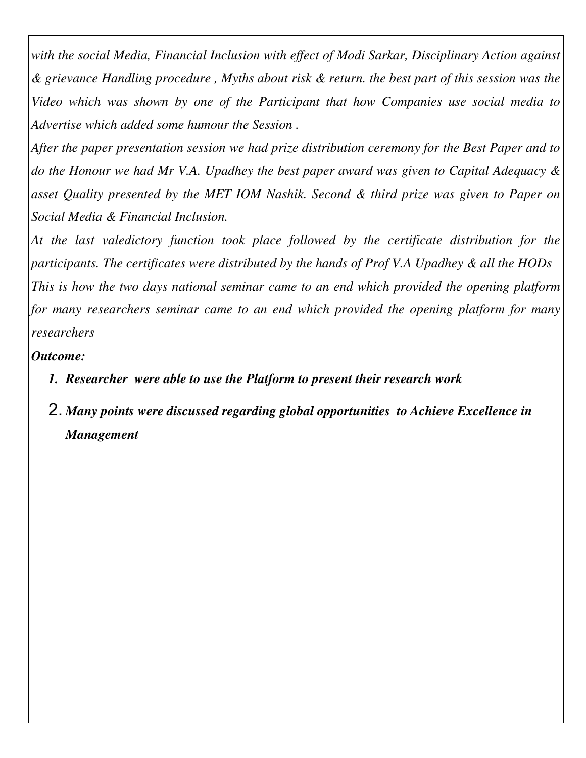*with the social Media, Financial Inclusion with effect of Modi Sarkar, Disciplinary Action against & grievance Handling procedure , Myths about risk & return. the best part of this session was the Video which was shown by one of the Participant that how Companies use social media to Advertise which added some humour the Session .* 

*After the paper presentation session we had prize distribution ceremony for the Best Paper and to do the Honour we had Mr V.A. Upadhey the best paper award was given to Capital Adequacy & asset Quality presented by the MET IOM Nashik. Second & third prize was given to Paper on Social Media & Financial Inclusion.* 

*At the last valedictory function took place followed by the certificate distribution for the participants. The certificates were distributed by the hands of Prof V.A Upadhey & all the HODs This is how the two days national seminar came to an end which provided the opening platform for many researchers seminar came to an end which provided the opening platform for many researchers* 

## *Outcome:*

- *1. Researcher were able to use the Platform to present their research work*
- 2. *Many points were discussed regarding global opportunities to Achieve Excellence in Management*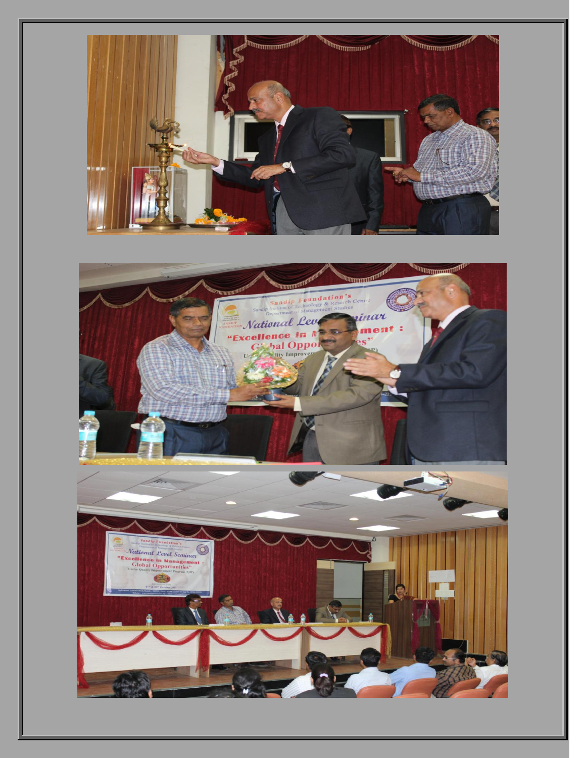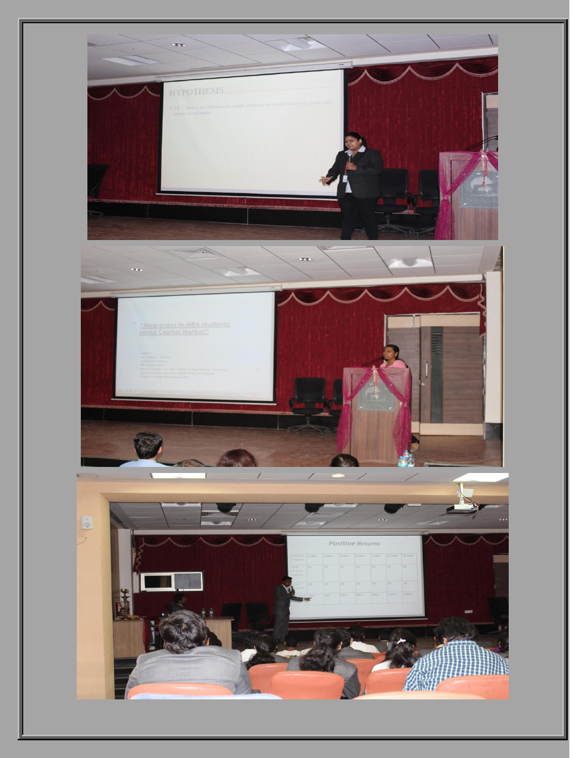